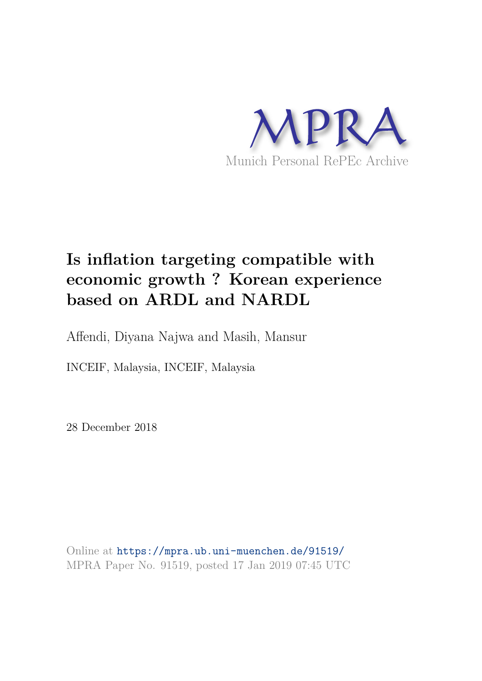

# **Is inflation targeting compatible with economic growth ? Korean experience based on ARDL and NARDL**

Affendi, Diyana Najwa and Masih, Mansur

INCEIF, Malaysia, INCEIF, Malaysia

28 December 2018

Online at https://mpra.ub.uni-muenchen.de/91519/ MPRA Paper No. 91519, posted 17 Jan 2019 07:45 UTC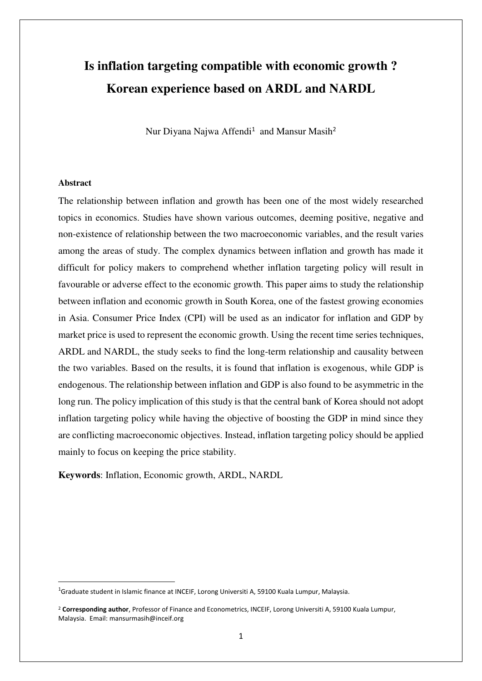# **Is inflation targeting compatible with economic growth ? Korean experience based on ARDL and NARDL**

Nur Diyana Najwa Affendi<sup>1</sup> and Mansur Masih<sup>2</sup>

#### **Abstract**

<u>.</u>

The relationship between inflation and growth has been one of the most widely researched topics in economics. Studies have shown various outcomes, deeming positive, negative and non-existence of relationship between the two macroeconomic variables, and the result varies among the areas of study. The complex dynamics between inflation and growth has made it difficult for policy makers to comprehend whether inflation targeting policy will result in favourable or adverse effect to the economic growth. This paper aims to study the relationship between inflation and economic growth in South Korea, one of the fastest growing economies in Asia. Consumer Price Index (CPI) will be used as an indicator for inflation and GDP by market price is used to represent the economic growth. Using the recent time series techniques, ARDL and NARDL, the study seeks to find the long-term relationship and causality between the two variables. Based on the results, it is found that inflation is exogenous, while GDP is endogenous. The relationship between inflation and GDP is also found to be asymmetric in the long run. The policy implication of this study is that the central bank of Korea should not adopt inflation targeting policy while having the objective of boosting the GDP in mind since they are conflicting macroeconomic objectives. Instead, inflation targeting policy should be applied mainly to focus on keeping the price stability.

**Keywords**: Inflation, Economic growth, ARDL, NARDL

<sup>&</sup>lt;sup>1</sup>Graduate student in Islamic finance at INCEIF, Lorong Universiti A, 59100 Kuala Lumpur, Malaysia.

<sup>2</sup> **Corresponding author**, Professor of Finance and Econometrics, INCEIF, Lorong Universiti A, 59100 Kuala Lumpur, Malaysia. Email: mansurmasih@inceif.org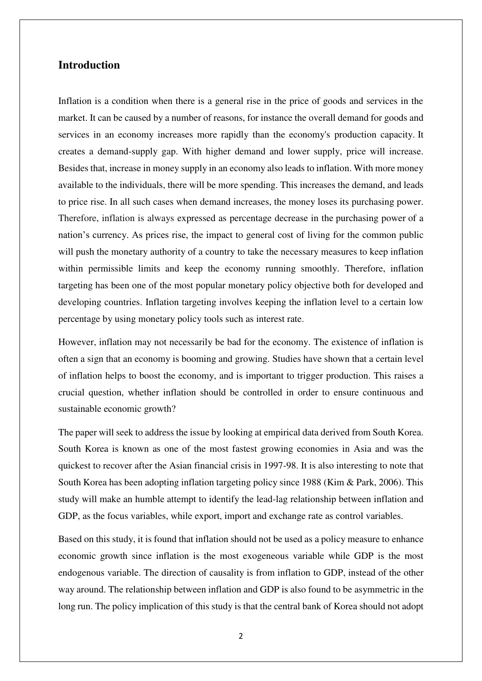# **Introduction**

Inflation is a condition when there is a general rise in the price of goods and services in the market. It can be caused by a number of reasons, for instance the overall demand for goods and services in an economy increases more rapidly than the economy's production capacity. It creates a demand-supply gap. With higher demand and lower supply, price will increase. Besides that, increase in money supply in an economy also leads to inflation. With more money available to the individuals, there will be more spending. This increases the demand, and leads to price rise. In all such cases when demand increases, the money loses its purchasing power. Therefore, inflation is always expressed as percentage decrease in the [purchasing power](https://www.investopedia.com/terms/p/purchasingpower.asp) of a nation's currency. As prices rise, the impact to general cost of living for the common public will push the monetary authority of a country to take the necessary measures to keep inflation within permissible limits and keep the economy running smoothly. Therefore, inflation targeting has been one of the most popular monetary policy objective both for developed and developing countries. Inflation targeting involves keeping the inflation level to a certain low percentage by using monetary policy tools such as interest rate.

However, inflation may not necessarily be bad for the economy. The existence of inflation is often a sign that an economy is booming and growing. Studies have shown that a certain level of inflation helps to boost the economy, and is important to trigger production. This raises a crucial question, whether inflation should be controlled in order to ensure continuous and sustainable economic growth?

The paper will seek to address the issue by looking at empirical data derived from South Korea. South Korea is known as one of the most fastest growing economies in Asia and was the quickest to recover after the Asian financial crisis in 1997-98. It is also interesting to note that South Korea has been adopting inflation targeting policy since 1988 (Kim & Park, 2006). This study will make an humble attempt to identify the lead-lag relationship between inflation and GDP, as the focus variables, while export, import and exchange rate as control variables.

Based on this study, it is found that inflation should not be used as a policy measure to enhance economic growth since inflation is the most exogeneous variable while GDP is the most endogenous variable. The direction of causality is from inflation to GDP, instead of the other way around. The relationship between inflation and GDP is also found to be asymmetric in the long run. The policy implication of this study is that the central bank of Korea should not adopt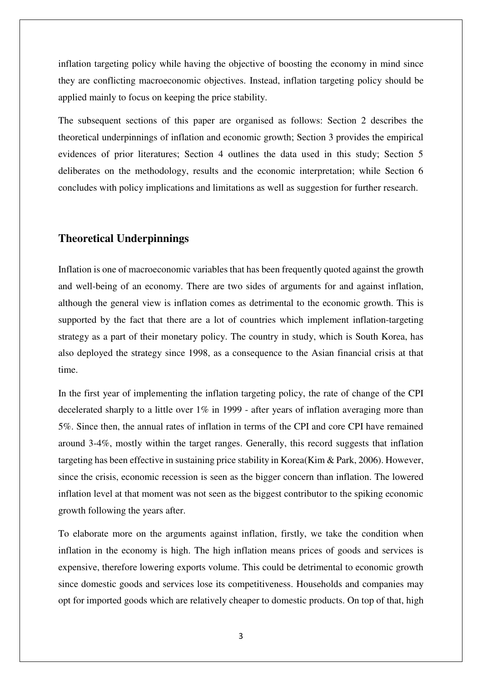inflation targeting policy while having the objective of boosting the economy in mind since they are conflicting macroeconomic objectives. Instead, inflation targeting policy should be applied mainly to focus on keeping the price stability.

The subsequent sections of this paper are organised as follows: Section 2 describes the theoretical underpinnings of inflation and economic growth; Section 3 provides the empirical evidences of prior literatures; Section 4 outlines the data used in this study; Section 5 deliberates on the methodology, results and the economic interpretation; while Section 6 concludes with policy implications and limitations as well as suggestion for further research.

# **Theoretical Underpinnings**

Inflation is one of macroeconomic variables that has been frequently quoted against the growth and well-being of an economy. There are two sides of arguments for and against inflation, although the general view is inflation comes as detrimental to the economic growth. This is supported by the fact that there are a lot of countries which implement inflation-targeting strategy as a part of their monetary policy. The country in study, which is South Korea, has also deployed the strategy since 1998, as a consequence to the Asian financial crisis at that time.

In the first year of implementing the inflation targeting policy, the rate of change of the CPI decelerated sharply to a little over 1% in 1999 - after years of inflation averaging more than 5%. Since then, the annual rates of inflation in terms of the CPI and core CPI have remained around 3-4%, mostly within the target ranges. Generally, this record suggests that inflation targeting has been effective in sustaining price stability in Korea(Kim & Park, 2006). However, since the crisis, economic recession is seen as the bigger concern than inflation. The lowered inflation level at that moment was not seen as the biggest contributor to the spiking economic growth following the years after.

To elaborate more on the arguments against inflation, firstly, we take the condition when inflation in the economy is high. The high inflation means prices of goods and services is expensive, therefore lowering exports volume. This could be detrimental to economic growth since domestic goods and services lose its competitiveness. Households and companies may opt for imported goods which are relatively cheaper to domestic products. On top of that, high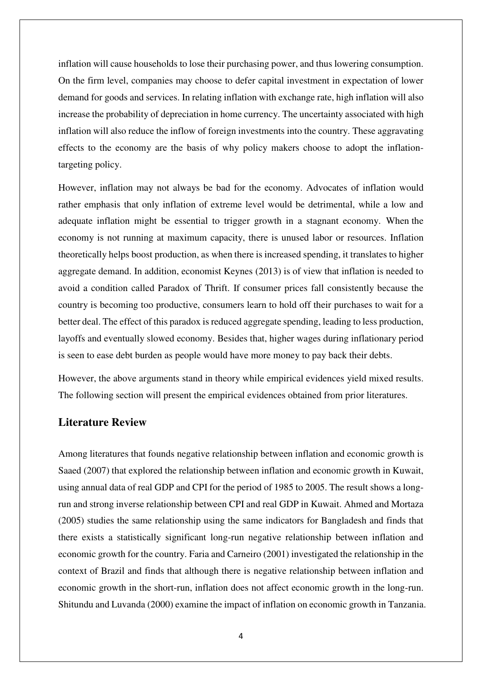inflation will cause households to lose their purchasing power, and thus lowering consumption. On the firm level, companies may choose to defer capital investment in expectation of lower demand for goods and services. In relating inflation with exchange rate, high inflation will also increase the probability of depreciation in home currency. The uncertainty associated with high inflation will also reduce the inflow of foreign investments into the country. These aggravating effects to the economy are the basis of why policy makers choose to adopt the inflationtargeting policy.

However, inflation may not always be bad for the economy. Advocates of inflation would rather emphasis that only inflation of extreme level would be detrimental, while a low and adequate inflation might be essential to trigger growth in a stagnant economy. When the economy is not running at maximum capacity, there is unused labor or resources. Inflation theoretically helps boost production, as when there is increased spending, it translates to higher aggregate demand. In addition, economist Keynes (2013) is of view that inflation is needed to avoid a condition called Paradox of Thrift. If consumer prices fall consistently because the country is becoming too productive, consumers learn to hold off their purchases to wait for a better deal. The effect of this paradox is reduced aggregate spending, leading to less production, layoffs and eventually slowed economy. Besides that, higher wages during inflationary period is seen to ease debt burden as people would have more money to pay back their debts.

However, the above arguments stand in theory while empirical evidences yield mixed results. The following section will present the empirical evidences obtained from prior literatures.

# **Literature Review**

Among literatures that founds negative relationship between inflation and economic growth is Saaed (2007) that explored the relationship between inflation and economic growth in Kuwait, using annual data of real GDP and CPI for the period of 1985 to 2005. The result shows a longrun and strong inverse relationship between CPI and real GDP in Kuwait. Ahmed and Mortaza (2005) studies the same relationship using the same indicators for Bangladesh and finds that there exists a statistically significant long-run negative relationship between inflation and economic growth for the country. Faria and Carneiro (2001) investigated the relationship in the context of Brazil and finds that although there is negative relationship between inflation and economic growth in the short-run, inflation does not affect economic growth in the long-run. Shitundu and Luvanda (2000) examine the impact of inflation on economic growth in Tanzania.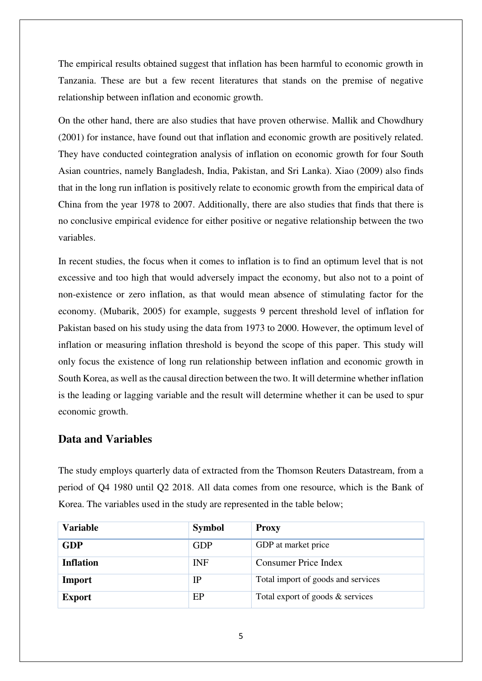The empirical results obtained suggest that inflation has been harmful to economic growth in Tanzania. These are but a few recent literatures that stands on the premise of negative relationship between inflation and economic growth.

On the other hand, there are also studies that have proven otherwise. Mallik and Chowdhury (2001) for instance, have found out that inflation and economic growth are positively related. They have conducted cointegration analysis of inflation on economic growth for four South Asian countries, namely Bangladesh, India, Pakistan, and Sri Lanka). Xiao (2009) also finds that in the long run inflation is positively relate to economic growth from the empirical data of China from the year 1978 to 2007. Additionally, there are also studies that finds that there is no conclusive empirical evidence for either positive or negative relationship between the two variables.

In recent studies, the focus when it comes to inflation is to find an optimum level that is not excessive and too high that would adversely impact the economy, but also not to a point of non-existence or zero inflation, as that would mean absence of stimulating factor for the economy. (Mubarik, 2005) for example, suggests 9 percent threshold level of inflation for Pakistan based on his study using the data from 1973 to 2000. However, the optimum level of inflation or measuring inflation threshold is beyond the scope of this paper. This study will only focus the existence of long run relationship between inflation and economic growth in South Korea, as well as the causal direction between the two. It will determine whether inflation is the leading or lagging variable and the result will determine whether it can be used to spur economic growth.

# **Data and Variables**

The study employs quarterly data of extracted from the Thomson Reuters Datastream, from a period of Q4 1980 until Q2 2018. All data comes from one resource, which is the Bank of Korea. The variables used in the study are represented in the table below;

| <b>Variable</b>  | <b>Symbol</b> | <b>Proxy</b>                       |
|------------------|---------------|------------------------------------|
| <b>GDP</b>       | <b>GDP</b>    | GDP at market price                |
| <b>Inflation</b> | <b>INF</b>    | <b>Consumer Price Index</b>        |
| Import           | $_{\rm IP}$   | Total import of goods and services |
| <b>Export</b>    | EP            | Total export of goods & services   |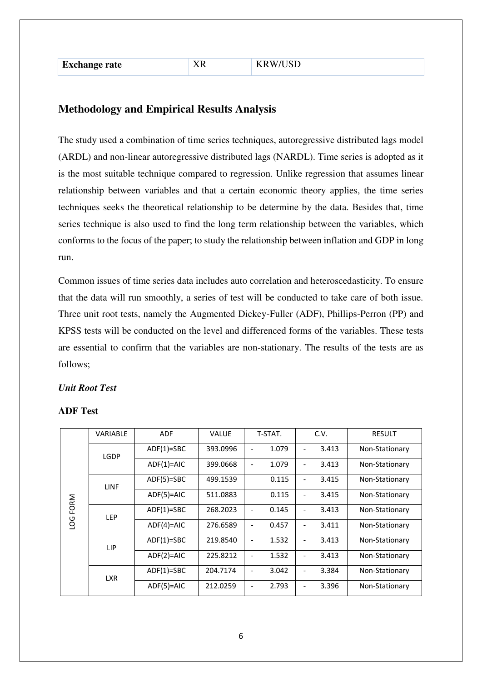| <b>Exchange rate</b> |  |
|----------------------|--|
|----------------------|--|

# **Methodology and Empirical Results Analysis**

The study used a combination of time series techniques, autoregressive distributed lags model (ARDL) and non-linear autoregressive distributed lags (NARDL). Time series is adopted as it is the most suitable technique compared to regression. Unlike regression that assumes linear relationship between variables and that a certain economic theory applies, the time series techniques seeks the theoretical relationship to be determine by the data. Besides that, time series technique is also used to find the long term relationship between the variables, which conforms to the focus of the paper; to study the relationship between inflation and GDP in long run.

Common issues of time series data includes auto correlation and heteroscedasticity. To ensure that the data will run smoothly, a series of test will be conducted to take care of both issue. Three unit root tests, namely the Augmented Dickey-Fuller (ADF), Phillips-Perron (PP) and KPSS tests will be conducted on the level and differenced forms of the variables. These tests are essential to confirm that the variables are non-stationary. The results of the tests are as follows;

## *Unit Root Test*

|           | <b>VARIABLE</b> | <b>ADF</b>   | <b>VALUE</b> | T-STAT. | C.V.                              | <b>RESULT</b>  |
|-----------|-----------------|--------------|--------------|---------|-----------------------------------|----------------|
|           | LGDP            | $ADF(1)=SBC$ | 393.0996     | 1.079   | 3.413<br>$\overline{\phantom{a}}$ | Non-Stationary |
|           |                 | $ADF(1)=AIC$ | 399.0668     | 1.079   | 3.413<br>$\overline{\phantom{a}}$ | Non-Stationary |
|           | <b>LINF</b>     | $ADF(5)=SBC$ | 499.1539     | 0.115   | 3.415<br>$\overline{\phantom{a}}$ | Non-Stationary |
| FORM      |                 | $ADF(5)=AIC$ | 511.0883     | 0.115   | 3.415<br>$\overline{a}$           | Non-Stationary |
|           | <b>LEP</b>      | $ADF(1)=SBC$ | 268.2023     | 0.145   | 3.413<br>$\overline{\phantom{a}}$ | Non-Stationary |
| <b>DO</b> |                 | $ADF(4)=AIC$ | 276.6589     | 0.457   | 3.411<br>$\overline{\phantom{a}}$ | Non-Stationary |
|           | LIP             | $ADF(1)=SBC$ | 219.8540     | 1.532   | 3.413<br>$\overline{\phantom{a}}$ | Non-Stationary |
|           |                 | $ADF(2)=AIC$ | 225.8212     | 1.532   | 3.413<br>$\overline{\phantom{a}}$ | Non-Stationary |
|           | <b>LXR</b>      | $ADF(1)=SBC$ | 204.7174     | 3.042   | 3.384                             | Non-Stationary |
|           |                 | $ADF(5)=AIC$ | 212.0259     | 2.793   | 3.396<br>٠                        | Non-Stationary |

## **ADF Test**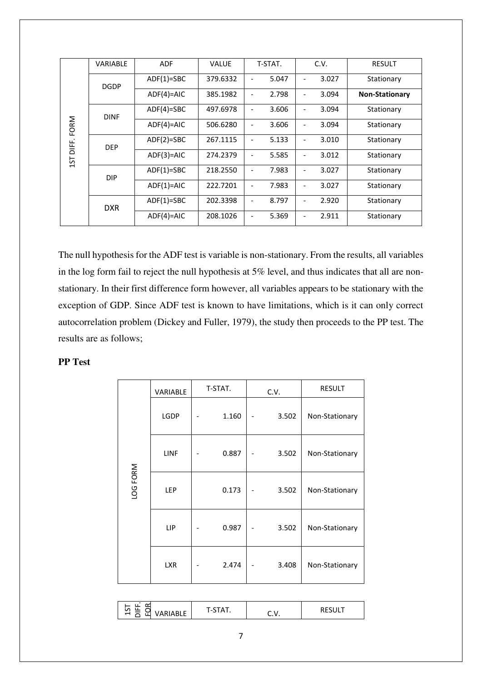|                     | <b>VARIABLE</b> | <b>ADF</b>   | <b>VALUE</b> | T-STAT.                           | C.V.                              | <b>RESULT</b>         |
|---------------------|-----------------|--------------|--------------|-----------------------------------|-----------------------------------|-----------------------|
|                     | <b>DGDP</b>     | $ADF(1)=SBC$ | 379.6332     | 5.047                             | 3.027<br>$\overline{\phantom{a}}$ | Stationary            |
|                     |                 | $ADF(4)=AIC$ | 385.1982     | 2.798                             | 3.094<br>$\overline{\phantom{a}}$ | <b>Non-Stationary</b> |
|                     | <b>DINF</b>     | $ADF(4)=SBC$ | 497.6978     | 3.606                             | 3.094<br>$\overline{\phantom{a}}$ | Stationary            |
| FORM                |                 | $ADF(4)=AIC$ | 506.6280     | 3.606                             | 3.094<br>$\overline{\phantom{a}}$ | Stationary            |
| DIFF.<br><b>DEP</b> | $ADF(2)=SBC$    | 267.1115     | 5.133        | 3.010<br>$\overline{\phantom{a}}$ | Stationary                        |                       |
| 15T                 |                 | $ADF(3)=AIC$ | 274.2379     | 5.585                             | 3.012<br>$\overline{\phantom{a}}$ | Stationary            |
|                     | <b>DIP</b>      | $ADF(1)=SBC$ | 218.2550     | 7.983                             | 3.027<br>$\overline{\phantom{a}}$ | Stationary            |
|                     |                 | $ADF(1)=AIC$ | 222.7201     | 7.983                             | 3.027<br>$\overline{\phantom{a}}$ | Stationary            |
|                     | <b>DXR</b>      | $ADF(1)=SBC$ | 202.3398     | 8.797                             | 2.920<br>$\overline{\phantom{a}}$ | Stationary            |
|                     |                 | $ADF(4)=AIC$ | 208.1026     | 5.369                             | 2.911                             | Stationary            |

The null hypothesis for the ADF test is variable is non-stationary. From the results, all variables in the log form fail to reject the null hypothesis at 5% level, and thus indicates that all are nonstationary. In their first difference form however, all variables appears to be stationary with the exception of GDP. Since ADF test is known to have limitations, which is it can only correct autocorrelation problem (Dickey and Fuller, 1979), the study then proceeds to the PP test. The results are as follows;

## **PP Test**

|          | VARIABLE    | T-STAT. | C.V.  | <b>RESULT</b>  |
|----------|-------------|---------|-------|----------------|
|          | <b>LGDP</b> | 1.160   | 3.502 | Non-Stationary |
|          | LINF        | 0.887   | 3.502 | Non-Stationary |
| LOG FORM | LEP         | 0.173   | 3.502 | Non-Stationary |
|          | LIP         | 0.987   | 3.502 | Non-Stationary |
|          | <b>LXR</b>  | 2.474   | 3.408 | Non-Stationary |

| --<br>-- |
|----------|
|----------|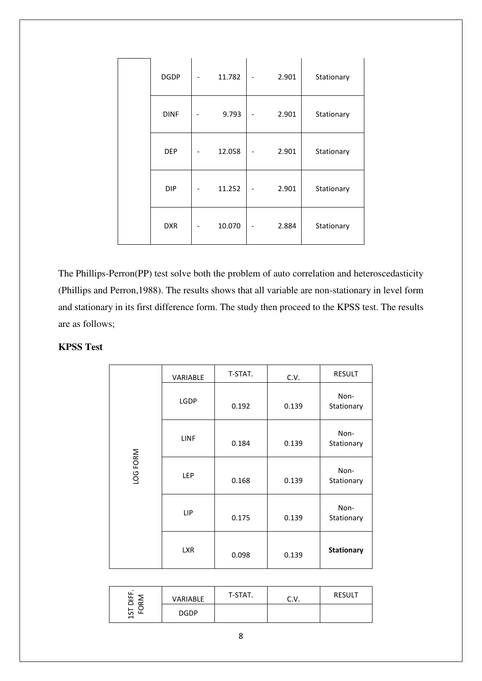| <b>DGDP</b> | 11.782 | 2.901 | Stationary |
|-------------|--------|-------|------------|
| <b>DINF</b> | 9.793  | 2.901 | Stationary |
| DEP         | 12.058 | 2.901 | Stationary |
| <b>DIP</b>  | 11.252 | 2.901 | Stationary |
| <b>DXR</b>  | 10.070 | 2.884 | Stationary |

The Phillips-Perron(PP) test solve both the problem of auto correlation and heteroscedasticity (Phillips and Perron,1988). The results shows that all variable are non-stationary in level form and stationary in its first difference form. The study then proceed to the KPSS test. The results are as follows;

## **KPSS Test**

|          | VARIABLE    | T-STAT. | C.V.  | RESULT             |
|----------|-------------|---------|-------|--------------------|
|          | <b>LGDP</b> | 0.192   | 0.139 | Non-<br>Stationary |
|          | <b>LINF</b> | 0.184   | 0.139 | Non-<br>Stationary |
| LOG FORM | LEP         | 0.168   | 0.139 | Non-<br>Stationary |
|          | LIP         | 0.175   | 0.139 | Non-<br>Stationary |
|          | <b>LXR</b>  | 0.098   | 0.139 | <b>Stationary</b>  |

| $-5$<br>$\propto$ | <b>VARIABLE</b> | T-STAT. | <b></b> | <b>RESULT</b> |
|-------------------|-----------------|---------|---------|---------------|
| ທ<br>↽            | <b>DGDP</b>     |         |         |               |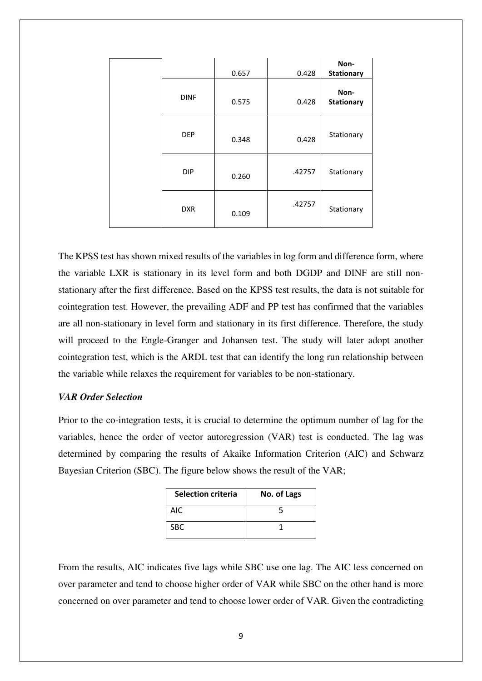|             | 0.657 | 0.428  | Non-<br><b>Stationary</b> |
|-------------|-------|--------|---------------------------|
| <b>DINF</b> | 0.575 | 0.428  | Non-<br><b>Stationary</b> |
| <b>DEP</b>  | 0.348 | 0.428  | Stationary                |
| <b>DIP</b>  | 0.260 | .42757 | Stationary                |
| <b>DXR</b>  | 0.109 | .42757 | Stationary                |

The KPSS test has shown mixed results of the variables in log form and difference form, where the variable LXR is stationary in its level form and both DGDP and DINF are still nonstationary after the first difference. Based on the KPSS test results, the data is not suitable for cointegration test. However, the prevailing ADF and PP test has confirmed that the variables are all non-stationary in level form and stationary in its first difference. Therefore, the study will proceed to the Engle-Granger and Johansen test. The study will later adopt another cointegration test, which is the ARDL test that can identify the long run relationship between the variable while relaxes the requirement for variables to be non-stationary.

### *VAR Order Selection*

Prior to the co-integration tests, it is crucial to determine the optimum number of lag for the variables, hence the order of vector autoregression (VAR) test is conducted. The lag was determined by comparing the results of Akaike Information Criterion (AIC) and Schwarz Bayesian Criterion (SBC). The figure below shows the result of the VAR;

| <b>Selection criteria</b> | No. of Lags |
|---------------------------|-------------|
| AIC                       |             |
| SBC.                      |             |

From the results, AIC indicates five lags while SBC use one lag. The AIC less concerned on over parameter and tend to choose higher order of VAR while SBC on the other hand is more concerned on over parameter and tend to choose lower order of VAR. Given the contradicting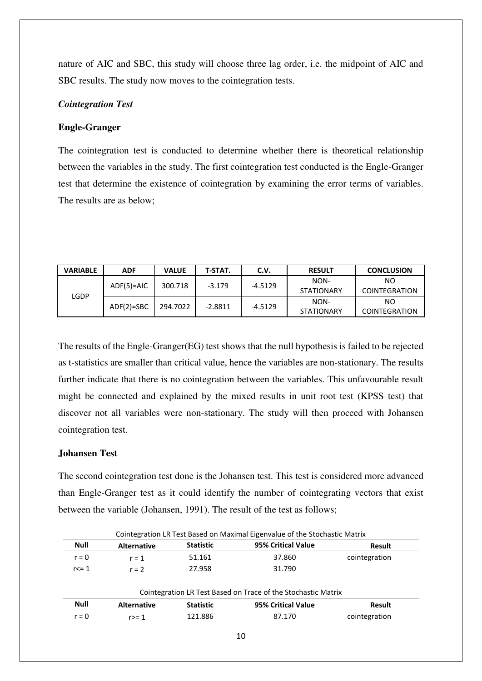nature of AIC and SBC, this study will choose three lag order, i.e. the midpoint of AIC and SBC results. The study now moves to the cointegration tests.

## *Cointegration Test*

## **Engle-Granger**

The cointegration test is conducted to determine whether there is theoretical relationship between the variables in the study. The first cointegration test conducted is the Engle-Granger test that determine the existence of cointegration by examining the error terms of variables. The results are as below;

| <b>VARIABLE</b> | <b>ADF</b>   | <b>VALUE</b> | T-STAT.   | C.V.      | <b>RESULT</b>     | <b>CONCLUSION</b>    |
|-----------------|--------------|--------------|-----------|-----------|-------------------|----------------------|
| LGDP            | $ADF(5)=AIC$ | 300.718      | $-3.179$  | $-4.5129$ | NON-              | NO.                  |
|                 |              |              |           |           | <b>STATIONARY</b> | COINTEGRATION        |
|                 | $ADF(2)=SBC$ | 294.7022     | $-2.8811$ | $-4.5129$ | NON-              | NO.                  |
|                 |              |              |           |           | <b>STATIONARY</b> | <b>COINTEGRATION</b> |

The results of the Engle-Granger(EG) test shows that the null hypothesis is failed to be rejected as t-statistics are smaller than critical value, hence the variables are non-stationary. The results further indicate that there is no cointegration between the variables. This unfavourable result might be connected and explained by the mixed results in unit root test (KPSS test) that discover not all variables were non-stationary. The study will then proceed with Johansen cointegration test.

## **Johansen Test**

The second cointegration test done is the Johansen test. This test is considered more advanced than Engle-Granger test as it could identify the number of cointegrating vectors that exist between the variable (Johansen, 1991). The result of the test as follows;

| <b>Null</b> | <b>Alternative</b> | <b>Statistic</b> | 95% Critical Value | Result        |
|-------------|--------------------|------------------|--------------------|---------------|
| $r = 0$     | $r = 1$            | 51.161           | 37.860             | cointegration |
| $r \leq 1$  | $r = 2$            | 27.958           | 31.790             |               |

| <b>Null</b> | <b>Alternative</b> | <b>Statistic</b> | 95% Critical Value | Result        |  |
|-------------|--------------------|------------------|--------------------|---------------|--|
| r = 0       | r>= 1              | 121.886          | 87.170             | cointegration |  |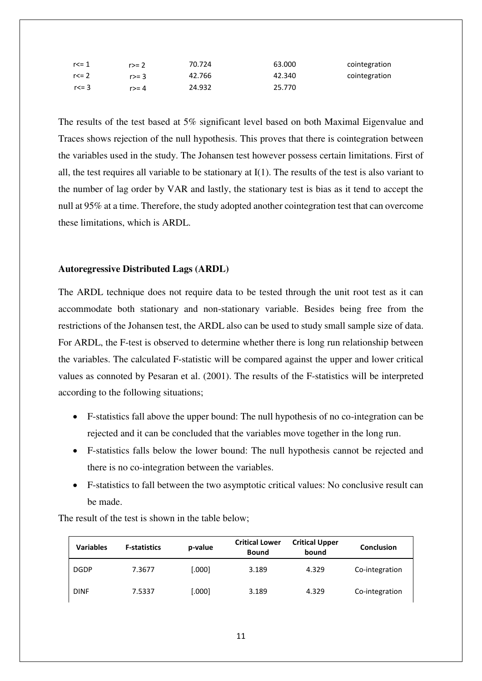| $r < = 1$ | r>= 2  | 70.724 | 63.000 | cointegration |
|-----------|--------|--------|--------|---------------|
| $r = 2$   | $r>=3$ | 42.766 | 42.340 | cointegration |
| $r < = 3$ | $r>=4$ | 24.932 | 25.770 |               |

The results of the test based at 5% significant level based on both Maximal Eigenvalue and Traces shows rejection of the null hypothesis. This proves that there is cointegration between the variables used in the study. The Johansen test however possess certain limitations. First of all, the test requires all variable to be stationary at I(1). The results of the test is also variant to the number of lag order by VAR and lastly, the stationary test is bias as it tend to accept the null at 95% at a time. Therefore, the study adopted another cointegration test that can overcome these limitations, which is ARDL.

## **Autoregressive Distributed Lags (ARDL)**

The ARDL technique does not require data to be tested through the unit root test as it can accommodate both stationary and non-stationary variable. Besides being free from the restrictions of the Johansen test, the ARDL also can be used to study small sample size of data. For ARDL, the F-test is observed to determine whether there is long run relationship between the variables. The calculated F-statistic will be compared against the upper and lower critical values as connoted by Pesaran et al. (2001). The results of the F-statistics will be interpreted according to the following situations;

- F-statistics fall above the upper bound: The null hypothesis of no co-integration can be rejected and it can be concluded that the variables move together in the long run.
- F-statistics falls below the lower bound: The null hypothesis cannot be rejected and there is no co-integration between the variables.
- F-statistics to fall between the two asymptotic critical values: No conclusive result can be made.

| <b>Variables</b> | <b>F-statistics</b> | p-value | <b>Critical Lower</b><br><b>Bound</b> | <b>Critical Upper</b><br>bound | <b>Conclusion</b> |
|------------------|---------------------|---------|---------------------------------------|--------------------------------|-------------------|
| <b>DGDP</b>      | 7.3677              | [.000]  | 3.189                                 | 4.329                          | Co-integration    |
| <b>DINF</b>      | 7.5337              | [.000]  | 3.189                                 | 4.329                          | Co-integration    |

The result of the test is shown in the table below;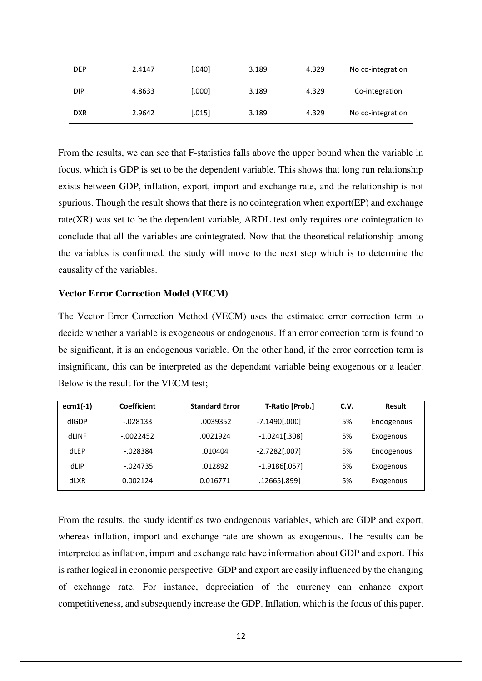| <b>DEP</b> | 2.4147 | [.040] | 3.189 | 4.329 | No co-integration |
|------------|--------|--------|-------|-------|-------------------|
| <b>DIP</b> | 4.8633 | [.000] | 3.189 | 4.329 | Co-integration    |
| <b>DXR</b> | 2.9642 | [.015] | 3.189 | 4.329 | No co-integration |

From the results, we can see that F-statistics falls above the upper bound when the variable in focus, which is GDP is set to be the dependent variable. This shows that long run relationship exists between GDP, inflation, export, import and exchange rate, and the relationship is not spurious. Though the result shows that there is no cointegration when export(EP) and exchange rate(XR) was set to be the dependent variable, ARDL test only requires one cointegration to conclude that all the variables are cointegrated. Now that the theoretical relationship among the variables is confirmed, the study will move to the next step which is to determine the causality of the variables.

### **Vector Error Correction Model (VECM)**

The Vector Error Correction Method (VECM) uses the estimated error correction term to decide whether a variable is exogeneous or endogenous. If an error correction term is found to be significant, it is an endogenous variable. On the other hand, if the error correction term is insignificant, this can be interpreted as the dependant variable being exogenous or a leader. Below is the result for the VECM test;

| $ecm1(-1)$ | Coefficient | <b>Standard Error</b> | <b>T-Ratio [Prob.]</b> | C.V. | Result     |
|------------|-------------|-----------------------|------------------------|------|------------|
| dIGDP      | $-0.028133$ | .0039352              | $-7.1490[.000]$        | 5%   | Endogenous |
| dLINF      | $-0022452$  | .0021924              | $-1.0241[.308]$        | 5%   | Exogenous  |
| dLEP       | $-028384$   | .010404               | $-2.7282[.007]$        | 5%   | Endogenous |
| dLIP       | $-024735$   | .012892               | $-1.9186[.057]$        | 5%   | Exogenous  |
| dLXR       | 0.002124    | 0.016771              | .12665[.899]           | 5%   | Exogenous  |

From the results, the study identifies two endogenous variables, which are GDP and export, whereas inflation, import and exchange rate are shown as exogenous. The results can be interpreted as inflation, import and exchange rate have information about GDP and export. This is rather logical in economic perspective. GDP and export are easily influenced by the changing of exchange rate. For instance, depreciation of the currency can enhance export competitiveness, and subsequently increase the GDP. Inflation, which is the focus of this paper,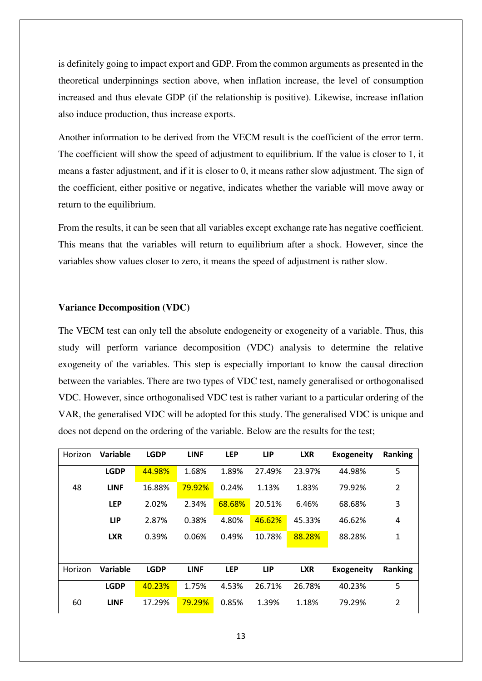is definitely going to impact export and GDP. From the common arguments as presented in the theoretical underpinnings section above, when inflation increase, the level of consumption increased and thus elevate GDP (if the relationship is positive). Likewise, increase inflation also induce production, thus increase exports.

Another information to be derived from the VECM result is the coefficient of the error term. The coefficient will show the speed of adjustment to equilibrium. If the value is closer to 1, it means a faster adjustment, and if it is closer to 0, it means rather slow adjustment. The sign of the coefficient, either positive or negative, indicates whether the variable will move away or return to the equilibrium.

From the results, it can be seen that all variables except exchange rate has negative coefficient. This means that the variables will return to equilibrium after a shock. However, since the variables show values closer to zero, it means the speed of adjustment is rather slow.

### **Variance Decomposition (VDC)**

The VECM test can only tell the absolute endogeneity or exogeneity of a variable. Thus, this study will perform variance decomposition (VDC) analysis to determine the relative exogeneity of the variables. This step is especially important to know the causal direction between the variables. There are two types of VDC test, namely generalised or orthogonalised VDC. However, since orthogonalised VDC test is rather variant to a particular ordering of the VAR, the generalised VDC will be adopted for this study. The generalised VDC is unique and does not depend on the ordering of the variable. Below are the results for the test;

| Horizon | Variable    | <b>LGDP</b> | <b>LINF</b> | <b>LEP</b> | <b>LIP</b> | <b>LXR</b> | <b>Exogeneity</b> | <b>Ranking</b> |
|---------|-------------|-------------|-------------|------------|------------|------------|-------------------|----------------|
|         | <b>LGDP</b> | 44.98%      | 1.68%       | 1.89%      | 27.49%     | 23.97%     | 44.98%            | 5              |
| 48      | <b>LINF</b> | 16.88%      | 79.92%      | 0.24%      | 1.13%      | 1.83%      | 79.92%            | 2              |
|         | <b>LEP</b>  | 2.02%       | 2.34%       | 68.68%     | 20.51%     | 6.46%      | 68.68%            | 3              |
|         | <b>LIP</b>  | 2.87%       | 0.38%       | 4.80%      | 46.62%     | 45.33%     | 46.62%            | 4              |
|         | <b>LXR</b>  | 0.39%       | 0.06%       | 0.49%      | 10.78%     | 88.28%     | 88.28%            | 1              |
|         |             |             |             |            |            |            |                   |                |
| Horizon | Variable    | <b>LGDP</b> | <b>LINF</b> | <b>LEP</b> | <b>LIP</b> | <b>LXR</b> | <b>Exogeneity</b> | <b>Ranking</b> |
|         | <b>LGDP</b> | 40.23%      | 1.75%       | 4.53%      | 26.71%     | 26.78%     | 40.23%            | 5              |
| 60      | <b>LINF</b> | 17.29%      | 79.29%      | 0.85%      | 1.39%      | 1.18%      | 79.29%            | $\overline{2}$ |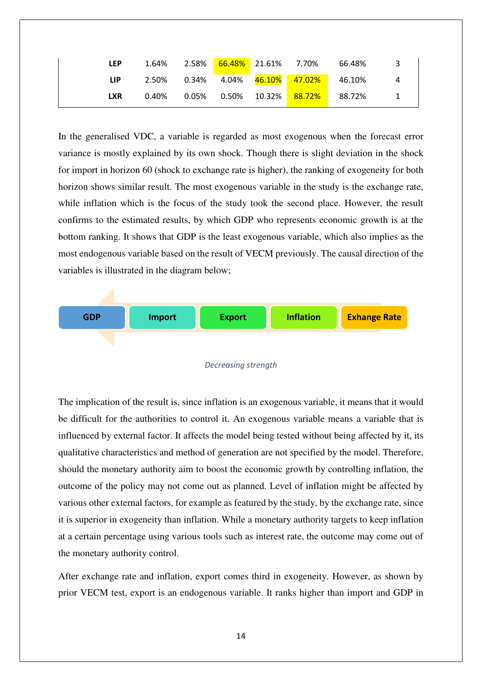| <b>LEP</b> | 1.64% |  |                                                        | 66.48% |  |
|------------|-------|--|--------------------------------------------------------|--------|--|
| LIP.       |       |  | 2.50%  0.34%  4.04% <mark>46.10%  47.02%</mark> 46.10% |        |  |
| <b>LXR</b> | 0.40% |  | 0.05%  0.50%  10.32% <mark> 88.72% </mark> 88.72%      |        |  |

In the generalised VDC, a variable is regarded as most exogenous when the forecast error variance is mostly explained by its own shock. Though there is slight deviation in the shock for import in horizon 60 (shock to exchange rate is higher), the ranking of exogeneity for both horizon shows similar result. The most exogenous variable in the study is the exchange rate, while inflation which is the focus of the study took the second place. However, the result confirms to the estimated results, by which GDP who represents economic growth is at the bottom ranking. It shows that GDP is the least exogenous variable, which also implies as the most endogenous variable based on the result of VECM previously. The causal direction of the variables is illustrated in the diagram below;



#### *Decreasing strength*

The implication of the result is, since inflation is an exogenous variable, it means that it would be difficult for the authorities to control it. An exogenous variable means a variable that is influenced by external factor. It affects the model being tested without being affected by it, its qualitative characteristics and method of generation are not specified by the model. Therefore, should the monetary authority aim to boost the economic growth by controlling inflation, the outcome of the policy may not come out as planned. Level of inflation might be affected by various other external factors, for example as featured by the study, by the exchange rate, since it is superior in exogeneity than inflation. While a monetary authority targets to keep inflation at a certain percentage using various tools such as interest rate, the outcome may come out of the monetary authority control.

After exchange rate and inflation, export comes third in exogeneity. However, as shown by prior VECM test, export is an endogenous variable. It ranks higher than import and GDP in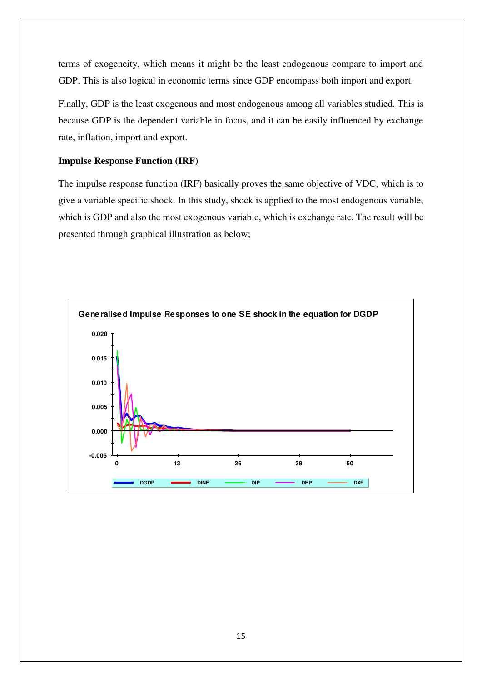terms of exogeneity, which means it might be the least endogenous compare to import and GDP. This is also logical in economic terms since GDP encompass both import and export.

Finally, GDP is the least exogenous and most endogenous among all variables studied. This is because GDP is the dependent variable in focus, and it can be easily influenced by exchange rate, inflation, import and export.

# **Impulse Response Function (IRF)**

The impulse response function (IRF) basically proves the same objective of VDC, which is to give a variable specific shock. In this study, shock is applied to the most endogenous variable, which is GDP and also the most exogenous variable, which is exchange rate. The result will be presented through graphical illustration as below;

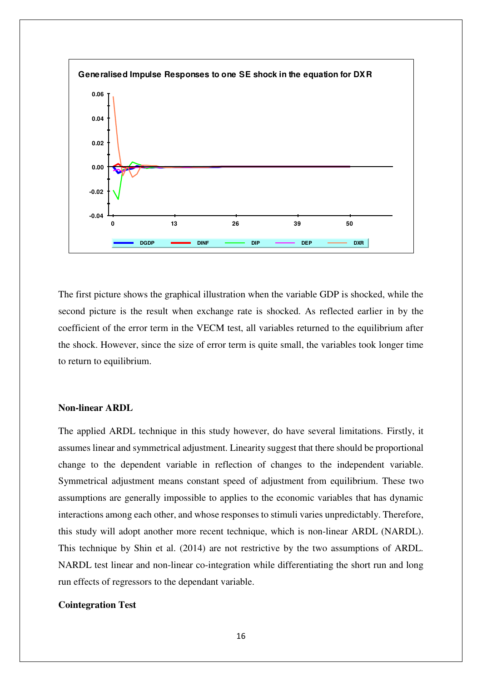

The first picture shows the graphical illustration when the variable GDP is shocked, while the second picture is the result when exchange rate is shocked. As reflected earlier in by the coefficient of the error term in the VECM test, all variables returned to the equilibrium after the shock. However, since the size of error term is quite small, the variables took longer time to return to equilibrium.

#### **Non-linear ARDL**

The applied ARDL technique in this study however, do have several limitations. Firstly, it assumes linear and symmetrical adjustment. Linearity suggest that there should be proportional change to the dependent variable in reflection of changes to the independent variable. Symmetrical adjustment means constant speed of adjustment from equilibrium. These two assumptions are generally impossible to applies to the economic variables that has dynamic interactions among each other, and whose responses to stimuli varies unpredictably. Therefore, this study will adopt another more recent technique, which is non-linear ARDL (NARDL). This technique by Shin et al. (2014) are not restrictive by the two assumptions of ARDL. NARDL test linear and non-linear co-integration while differentiating the short run and long run effects of regressors to the dependant variable.

#### **Cointegration Test**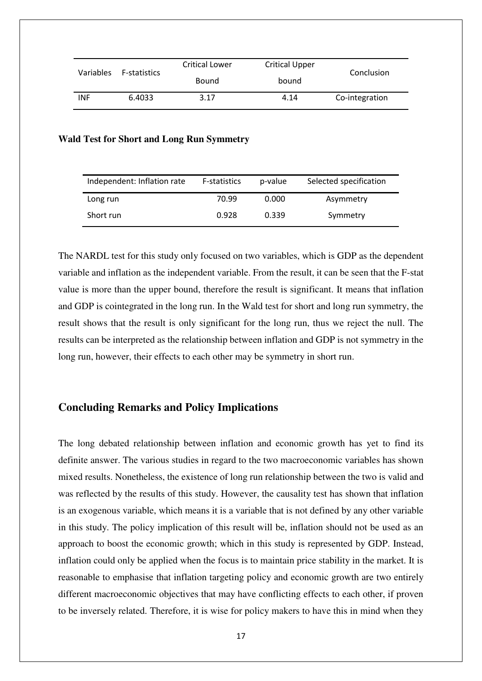| Variables | F-statistics | <b>Critical Lower</b><br><b>Critical Upper</b> |       | Conclusion     |  |
|-----------|--------------|------------------------------------------------|-------|----------------|--|
|           |              | Bound                                          | bound |                |  |
| INF       | 6.4033       | 3.17                                           | 4.14  | Co-integration |  |

#### **Wald Test for Short and Long Run Symmetry**

| Independent: Inflation rate | <b>F-statistics</b> | p-value | Selected specification |
|-----------------------------|---------------------|---------|------------------------|
| Long run                    | 70.99               | 0.000   | Asymmetry              |
| Short run                   | 0.928               | 0.339   | Symmetry               |

The NARDL test for this study only focused on two variables, which is GDP as the dependent variable and inflation as the independent variable. From the result, it can be seen that the F-stat value is more than the upper bound, therefore the result is significant. It means that inflation and GDP is cointegrated in the long run. In the Wald test for short and long run symmetry, the result shows that the result is only significant for the long run, thus we reject the null. The results can be interpreted as the relationship between inflation and GDP is not symmetry in the long run, however, their effects to each other may be symmetry in short run.

# **Concluding Remarks and Policy Implications**

The long debated relationship between inflation and economic growth has yet to find its definite answer. The various studies in regard to the two macroeconomic variables has shown mixed results. Nonetheless, the existence of long run relationship between the two is valid and was reflected by the results of this study. However, the causality test has shown that inflation is an exogenous variable, which means it is a variable that is not defined by any other variable in this study. The policy implication of this result will be, inflation should not be used as an approach to boost the economic growth; which in this study is represented by GDP. Instead, inflation could only be applied when the focus is to maintain price stability in the market. It is reasonable to emphasise that inflation targeting policy and economic growth are two entirely different macroeconomic objectives that may have conflicting effects to each other, if proven to be inversely related. Therefore, it is wise for policy makers to have this in mind when they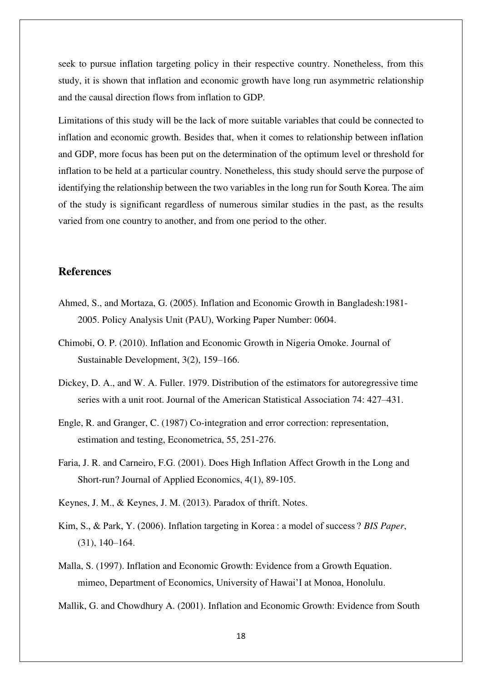seek to pursue inflation targeting policy in their respective country. Nonetheless, from this study, it is shown that inflation and economic growth have long run asymmetric relationship and the causal direction flows from inflation to GDP.

Limitations of this study will be the lack of more suitable variables that could be connected to inflation and economic growth. Besides that, when it comes to relationship between inflation and GDP, more focus has been put on the determination of the optimum level or threshold for inflation to be held at a particular country. Nonetheless, this study should serve the purpose of identifying the relationship between the two variables in the long run for South Korea. The aim of the study is significant regardless of numerous similar studies in the past, as the results varied from one country to another, and from one period to the other.

# **References**

- Ahmed, S., and Mortaza, G. (2005). Inflation and Economic Growth in Bangladesh:1981- 2005. Policy Analysis Unit (PAU), Working Paper Number: 0604.
- Chimobi, O. P. (2010). Inflation and Economic Growth in Nigeria Omoke. Journal of Sustainable Development, 3(2), 159–166.
- Dickey, D. A., and W. A. Fuller. 1979. Distribution of the estimators for autoregressive time series with a unit root. Journal of the American Statistical Association 74: 427–431.
- Engle, R. and Granger, C. (1987) Co-integration and error correction: representation, estimation and testing, Econometrica, 55, 251-276.
- Faria, J. R. and Carneiro, F.G. (2001). Does High Inflation Affect Growth in the Long and Short-run? Journal of Applied Economics, 4(1), 89-105.
- Keynes, J. M., & Keynes, J. M. (2013). Paradox of thrift. Notes.
- Kim, S., & Park, Y. (2006). Inflation targeting in Korea : a model of success ? *BIS Paper*, (31), 140–164.
- Malla, S. (1997). Inflation and Economic Growth: Evidence from a Growth Equation. mimeo, Department of Economics, University of Hawai'I at Monoa, Honolulu.
- Mallik, G. and Chowdhury A. (2001). Inflation and Economic Growth: Evidence from South